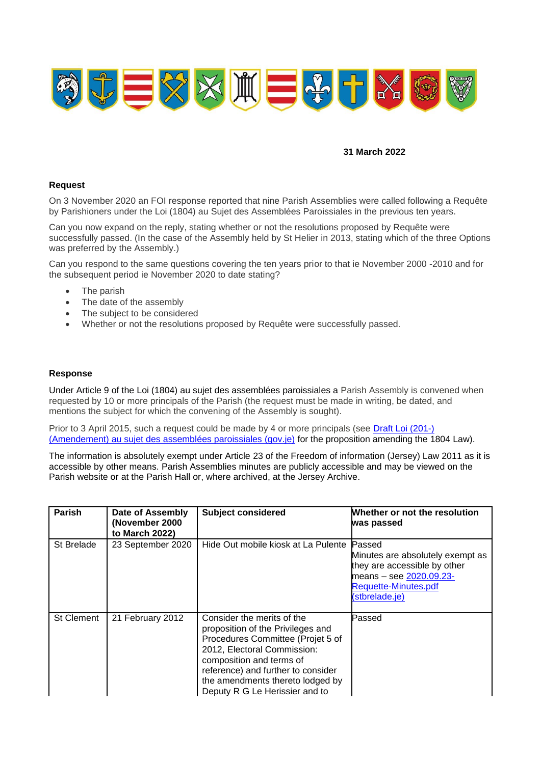

## **31 March 2022**

## **Request**

On 3 November 2020 an FOI response reported that nine Parish Assemblies were called following a Requête by Parishioners under the Loi (1804) au Sujet des Assemblées Paroissiales in the previous ten years.

Can you now expand on the reply, stating whether or not the resolutions proposed by Requête were successfully passed. (In the case of the Assembly held by St Helier in 2013, stating which of the three Options was preferred by the Assembly.)

Can you respond to the same questions covering the ten years prior to that ie November 2000 -2010 and for the subsequent period ie November 2020 to date stating?

- The parish
- The date of the assembly
- The subject to be considered
- Whether or not the resolutions proposed by Requête were successfully passed.

## **Response**

Under Article 9 of the Loi (1804) au sujet des assemblées paroissiales a Parish Assembly is convened when requested by 10 or more principals of the Parish (the request must be made in writing, be dated, and mentions the subject for which the convening of the Assembly is sought).

Prior to 3 April 2015, such a request could be made by 4 or more principals (see Draft Loi (201-) [\(Amendement\) au sujet des assemblées paroissiales \(gov.je\)](https://statesassembly.gov.je/assemblypropositions/2014/p.173-2014.pdf) for the proposition amending the 1804 Law).

The information is absolutely exempt under Article 23 of the Freedom of information (Jersey) Law 2011 as it is accessible by other means. Parish Assemblies minutes are publicly accessible and may be viewed on the Parish website or at the Parish Hall or, where archived, at the Jersey Archive.

| <b>Parish</b>     | Date of Assembly<br>(November 2000)<br>to March 2022) | <b>Subject considered</b>                                                                                                                                                                                                                                                   | Whether or not the resolution<br>was passed                                                                                                     |
|-------------------|-------------------------------------------------------|-----------------------------------------------------------------------------------------------------------------------------------------------------------------------------------------------------------------------------------------------------------------------------|-------------------------------------------------------------------------------------------------------------------------------------------------|
| St Brelade        | 23 September 2020                                     | Hide Out mobile kiosk at La Pulente                                                                                                                                                                                                                                         | Passed<br>Minutes are absolutely exempt as<br>they are accessible by other<br>means - see 2020.09.23-<br>Requette-Minutes.pdf<br>(stbrelade.je) |
| <b>St Clement</b> | 21 February 2012                                      | Consider the merits of the<br>proposition of the Privileges and<br>Procedures Committee (Projet 5 of<br>2012, Electoral Commission:<br>composition and terms of<br>reference) and further to consider<br>the amendments thereto lodged by<br>Deputy R G Le Herissier and to | Passed                                                                                                                                          |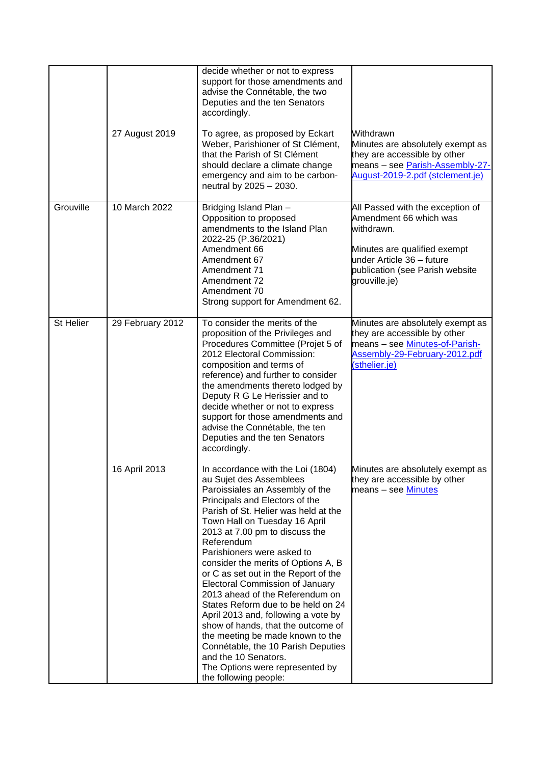|           | 27 August 2019   | decide whether or not to express<br>support for those amendments and<br>advise the Connétable, the two<br>Deputies and the ten Senators<br>accordingly.<br>To agree, as proposed by Eckart<br>Weber, Parishioner of St Clément,<br>that the Parish of St Clément<br>should declare a climate change<br>emergency and aim to be carbon-<br>neutral by 2025 - 2030.                                                                                                                                                                                                                                                                                                                                                                     | Withdrawn<br>Minutes are absolutely exempt as<br>they are accessible by other<br>means - see Parish-Assembly-27-<br>August-2019-2.pdf (stclement.je)                                      |
|-----------|------------------|---------------------------------------------------------------------------------------------------------------------------------------------------------------------------------------------------------------------------------------------------------------------------------------------------------------------------------------------------------------------------------------------------------------------------------------------------------------------------------------------------------------------------------------------------------------------------------------------------------------------------------------------------------------------------------------------------------------------------------------|-------------------------------------------------------------------------------------------------------------------------------------------------------------------------------------------|
| Grouville | 10 March 2022    | Bridging Island Plan -<br>Opposition to proposed<br>amendments to the Island Plan<br>2022-25 (P.36/2021)<br>Amendment 66<br>Amendment 67<br>Amendment 71<br>Amendment 72<br>Amendment 70<br>Strong support for Amendment 62.                                                                                                                                                                                                                                                                                                                                                                                                                                                                                                          | All Passed with the exception of<br>Amendment 66 which was<br>withdrawn.<br>Minutes are qualified exempt<br>under Article 36 - future<br>publication (see Parish website<br>grouville.je) |
| St Helier | 29 February 2012 | To consider the merits of the<br>proposition of the Privileges and<br>Procedures Committee (Projet 5 of<br>2012 Electoral Commission:<br>composition and terms of<br>reference) and further to consider<br>the amendments thereto lodged by<br>Deputy R G Le Herissier and to<br>decide whether or not to express<br>support for those amendments and<br>advise the Connétable, the ten<br>Deputies and the ten Senators<br>accordingly.                                                                                                                                                                                                                                                                                              | Minutes are absolutely exempt as<br>they are accessible by other<br>means - see Minutes-of-Parish-<br>Assembly-29-February-2012.pdf<br>(sthelier.je)                                      |
|           | 16 April 2013    | In accordance with the Loi (1804)<br>au Sujet des Assemblees<br>Paroissiales an Assembly of the<br>Principals and Electors of the<br>Parish of St. Helier was held at the<br>Town Hall on Tuesday 16 April<br>2013 at 7.00 pm to discuss the<br>Referendum<br>Parishioners were asked to<br>consider the merits of Options A, B<br>or C as set out in the Report of the<br><b>Electoral Commission of January</b><br>2013 ahead of the Referendum on<br>States Reform due to be held on 24<br>April 2013 and, following a vote by<br>show of hands, that the outcome of<br>the meeting be made known to the<br>Connétable, the 10 Parish Deputies<br>and the 10 Senators.<br>The Options were represented by<br>the following people: | Minutes are absolutely exempt as<br>they are accessible by other<br>means - see Minutes                                                                                                   |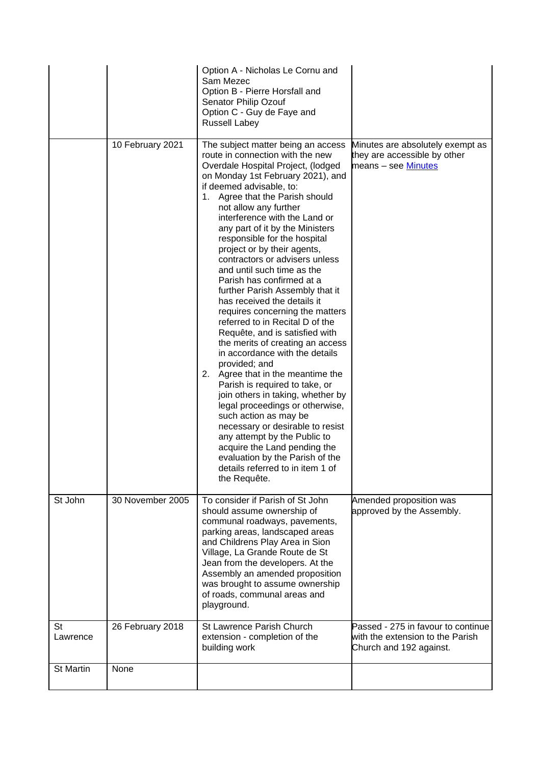|                       |                  | Option A - Nicholas Le Cornu and<br>Sam Mezec<br>Option B - Pierre Horsfall and<br>Senator Philip Ozouf<br>Option C - Guy de Faye and<br><b>Russell Labey</b>                                                                                                                                                                                                                                                                                                                                                                                                                                                                                                                                                                                                                                                                                                                                                                                                                                                                                                                                                 |                                                                                                   |
|-----------------------|------------------|---------------------------------------------------------------------------------------------------------------------------------------------------------------------------------------------------------------------------------------------------------------------------------------------------------------------------------------------------------------------------------------------------------------------------------------------------------------------------------------------------------------------------------------------------------------------------------------------------------------------------------------------------------------------------------------------------------------------------------------------------------------------------------------------------------------------------------------------------------------------------------------------------------------------------------------------------------------------------------------------------------------------------------------------------------------------------------------------------------------|---------------------------------------------------------------------------------------------------|
|                       | 10 February 2021 | The subject matter being an access<br>route in connection with the new<br>Overdale Hospital Project, (lodged<br>on Monday 1st February 2021), and<br>if deemed advisable, to:<br>1. Agree that the Parish should<br>not allow any further<br>interference with the Land or<br>any part of it by the Ministers<br>responsible for the hospital<br>project or by their agents,<br>contractors or advisers unless<br>and until such time as the<br>Parish has confirmed at a<br>further Parish Assembly that it<br>has received the details it<br>requires concerning the matters<br>referred to in Recital D of the<br>Requête, and is satisfied with<br>the merits of creating an access<br>in accordance with the details<br>provided; and<br>2. Agree that in the meantime the<br>Parish is required to take, or<br>join others in taking, whether by<br>legal proceedings or otherwise,<br>such action as may be<br>necessary or desirable to resist<br>any attempt by the Public to<br>acquire the Land pending the<br>evaluation by the Parish of the<br>details referred to in item 1 of<br>the Requête. | Minutes are absolutely exempt as<br>they are accessible by other<br>means - see Minutes           |
| St John               | 30 November 2005 | To consider if Parish of St John<br>should assume ownership of<br>communal roadways, pavements,<br>parking areas, landscaped areas<br>and Childrens Play Area in Sion<br>Village, La Grande Route de St<br>Jean from the developers. At the<br>Assembly an amended proposition<br>was brought to assume ownership<br>of roads, communal areas and<br>playground.                                                                                                                                                                                                                                                                                                                                                                                                                                                                                                                                                                                                                                                                                                                                              | Amended proposition was<br>approved by the Assembly.                                              |
| <b>St</b><br>Lawrence | 26 February 2018 | St Lawrence Parish Church<br>extension - completion of the<br>building work                                                                                                                                                                                                                                                                                                                                                                                                                                                                                                                                                                                                                                                                                                                                                                                                                                                                                                                                                                                                                                   | Passed - 275 in favour to continue<br>with the extension to the Parish<br>Church and 192 against. |
| <b>St Martin</b>      | None             |                                                                                                                                                                                                                                                                                                                                                                                                                                                                                                                                                                                                                                                                                                                                                                                                                                                                                                                                                                                                                                                                                                               |                                                                                                   |